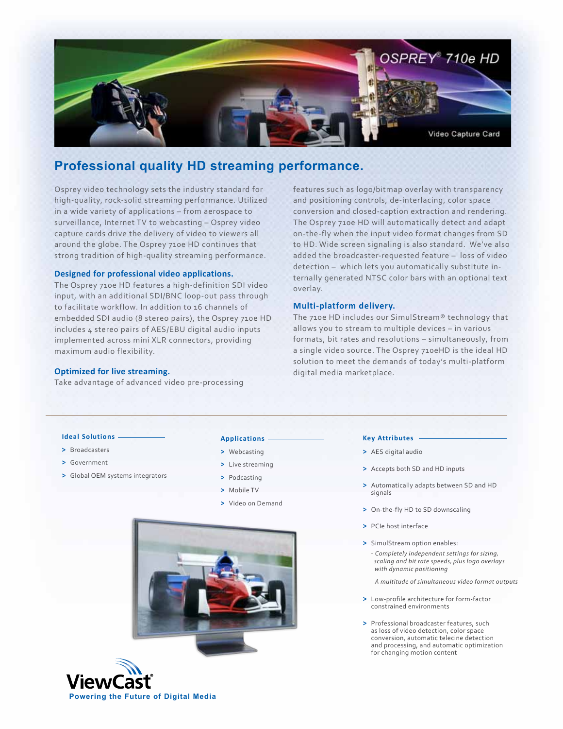

# **Professional quality HD streaming performance.**

Osprey video technology sets the industry standard for high-quality, rock-solid streaming performance. Utilized in a wide variety of applications – from aerospace to surveillance, Internet TV to webcasting – Osprey video capture cards drive the delivery of video to viewers all around the globe. The Osprey 710e HD continues that strong tradition of high-quality streaming performance.

## **Designed for professional video applications.**

The Osprey 710e HD features a high-definition SDI video input, with an additional SDI/BNC loop-out pass through to facilitate workflow. In addition to 16 channels of embedded SDI audio (8 stereo pairs), the Osprey 710e HD includes 4 stereo pairs of AES/EBU digital audio inputs implemented across mini XLR connectors, providing maximum audio flexibility.

## **Optimized for live streaming.**

Take advantage of advanced video pre-processing

features such as logo/bitmap overlay with transparency and positioning controls, de-interlacing, color space conversion and closed-caption extraction and rendering. The Osprey 710e HD will automatically detect and adapt on-the-fly when the input video format changes from SD to HD. Wide screen signaling is also standard. We've also added the broadcaster-requested feature – loss of video detection – which lets you automatically substitute internally generated NTSC color bars with an optional text overlay.

## **Multi-platform delivery.**

The 710e HD includes our SimulStream® technology that allows you to stream to multiple devices – in various formats, bit rates and resolutions – simultaneously, from a single video source. The Osprey 710eHD is the ideal HD solution to meet the demands of today's multi-platform digital media marketplace.

## **Ideal Solutions**

- **>** Broadcasters
- **>** Government
- **>** Global OEM systems integrators

## **Applications**

- **>** Webcasting
- **>** Live streaming
- **>** Podcasting
- **>** Mobile TV
- **>** Video on Demand





#### **Key Attributes**

- **>** AES digital audio
- **>** Accepts both SD and HD inputs
- **>** Automatically adapts between SD and HD signals
- **>** On-the-fly HD to SD downscaling
- **>** PCIe host interface
- **>** SimulStream option enables: - *Completely independent settings for sizing, scaling and bit rate speeds, plus logo overlays with dynamic positioning*
	- *A multitude of simultaneous video format outputs*
- **>** Low-profile architecture for form-factor constrained environments
- **>** Professional broadcaster features, such as loss of video detection, color space conversion, automatic telecine detection and processing, and automatic optimization for changing motion content